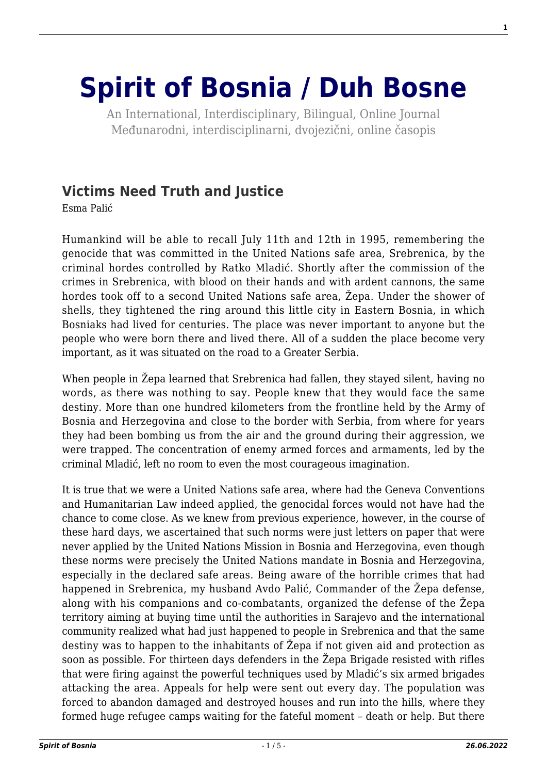## **[Spirit of Bosnia / Duh Bosne](http://www.spiritofbosnia.org/)**

An International, Interdisciplinary, Bilingual, Online Journal Međunarodni, interdisciplinarni, dvojezični, online časopis

## **[Victims Need Truth and Justice](http://www.spiritofbosnia.org/volume-2-no-4-2007-october/victims-need-truth-and-justice/)**

Esma Palić

Humankind will be able to recall July 11th and 12th in 1995, remembering the genocide that was committed in the United Nations safe area, Srebrenica, by the criminal hordes controlled by Ratko Mladić. Shortly after the commission of the crimes in Srebrenica, with blood on their hands and with ardent cannons, the same hordes took off to a second United Nations safe area, Žepa. Under the shower of shells, they tightened the ring around this little city in Eastern Bosnia, in which Bosniaks had lived for centuries. The place was never important to anyone but the people who were born there and lived there. All of a sudden the place become very important, as it was situated on the road to a Greater Serbia.

When people in Žepa learned that Srebrenica had fallen, they stayed silent, having no words, as there was nothing to say. People knew that they would face the same destiny. More than one hundred kilometers from the frontline held by the Army of Bosnia and Herzegovina and close to the border with Serbia, from where for years they had been bombing us from the air and the ground during their aggression, we were trapped. The concentration of enemy armed forces and armaments, led by the criminal Mladić, left no room to even the most courageous imagination.

It is true that we were a United Nations safe area, where had the Geneva Conventions and Humanitarian Law indeed applied, the genocidal forces would not have had the chance to come close. As we knew from previous experience, however, in the course of these hard days, we ascertained that such norms were just letters on paper that were never applied by the United Nations Mission in Bosnia and Herzegovina, even though these norms were precisely the United Nations mandate in Bosnia and Herzegovina, especially in the declared safe areas. Being aware of the horrible crimes that had happened in Srebrenica, my husband Avdo Palić, Commander of the Žepa defense, along with his companions and co-combatants, organized the defense of the Žepa territory aiming at buying time until the authorities in Sarajevo and the international community realized what had just happened to people in Srebrenica and that the same destiny was to happen to the inhabitants of Žepa if not given aid and protection as soon as possible. For thirteen days defenders in the Žepa Brigade resisted with rifles that were firing against the powerful techniques used by Mladić's six armed brigades attacking the area. Appeals for help were sent out every day. The population was forced to abandon damaged and destroyed houses and run into the hills, where they formed huge refugee camps waiting for the fateful moment – death or help. But there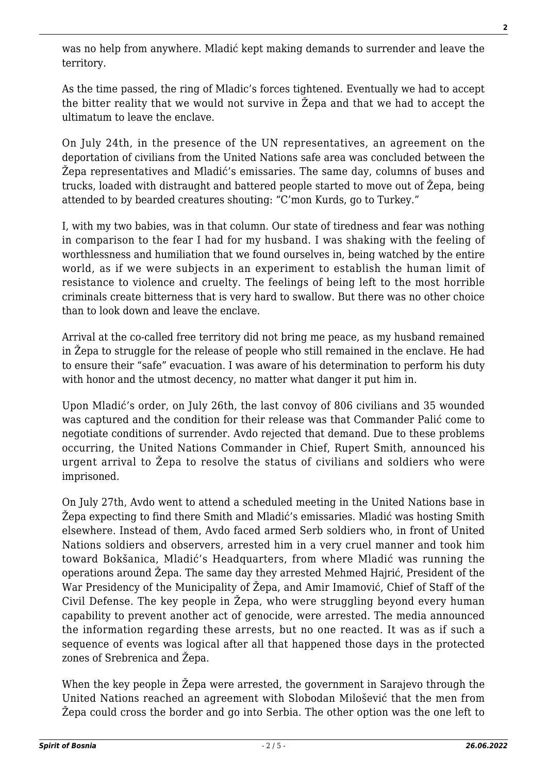was no help from anywhere. Mladić kept making demands to surrender and leave the territory.

As the time passed, the ring of Mladic's forces tightened. Eventually we had to accept the bitter reality that we would not survive in Žepa and that we had to accept the ultimatum to leave the enclave.

On July 24th, in the presence of the UN representatives, an agreement on the deportation of civilians from the United Nations safe area was concluded between the Žepa representatives and Mladić's emissaries. The same day, columns of buses and trucks, loaded with distraught and battered people started to move out of Žepa, being attended to by bearded creatures shouting: "C'mon Kurds, go to Turkey."

I, with my two babies, was in that column. Our state of tiredness and fear was nothing in comparison to the fear I had for my husband. I was shaking with the feeling of worthlessness and humiliation that we found ourselves in, being watched by the entire world, as if we were subjects in an experiment to establish the human limit of resistance to violence and cruelty. The feelings of being left to the most horrible criminals create bitterness that is very hard to swallow. But there was no other choice than to look down and leave the enclave.

Arrival at the co-called free territory did not bring me peace, as my husband remained in Žepa to struggle for the release of people who still remained in the enclave. He had to ensure their "safe" evacuation. I was aware of his determination to perform his duty with honor and the utmost decency, no matter what danger it put him in.

Upon Mladić's order, on July 26th, the last convoy of 806 civilians and 35 wounded was captured and the condition for their release was that Commander Palić come to negotiate conditions of surrender. Avdo rejected that demand. Due to these problems occurring, the United Nations Commander in Chief, Rupert Smith, announced his urgent arrival to Žepa to resolve the status of civilians and soldiers who were imprisoned.

On July 27th, Avdo went to attend a scheduled meeting in the United Nations base in Žepa expecting to find there Smith and Mladić's emissaries. Mladić was hosting Smith elsewhere. Instead of them, Avdo faced armed Serb soldiers who, in front of United Nations soldiers and observers, arrested him in a very cruel manner and took him toward Bokšanica, Mladić's Headquarters, from where Mladić was running the operations around Žepa. The same day they arrested Mehmed Hajrić, President of the War Presidency of the Municipality of Žepa, and Amir Imamović, Chief of Staff of the Civil Defense. The key people in Žepa, who were struggling beyond every human capability to prevent another act of genocide, were arrested. The media announced the information regarding these arrests, but no one reacted. It was as if such a sequence of events was logical after all that happened those days in the protected zones of Srebrenica and Žepa.

When the key people in Žepa were arrested, the government in Sarajevo through the United Nations reached an agreement with Slobodan Milošević that the men from Žepa could cross the border and go into Serbia. The other option was the one left to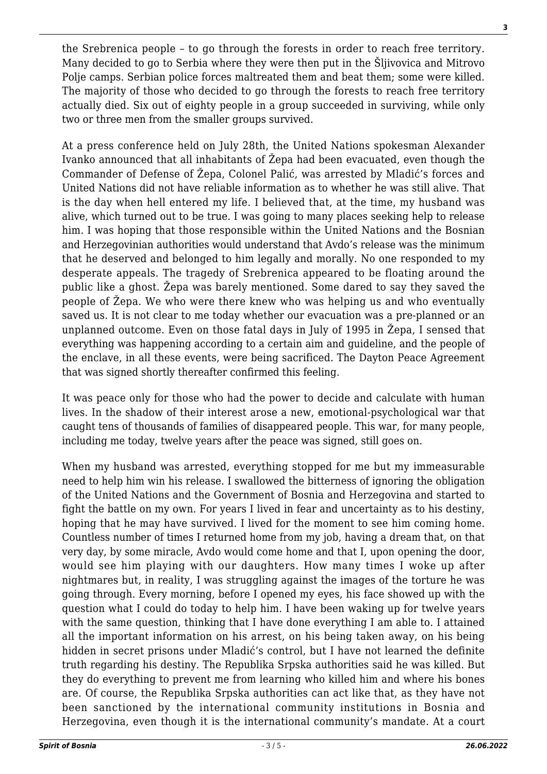the Srebrenica people – to go through the forests in order to reach free territory. Many decided to go to Serbia where they were then put in the Šljivovica and Mitrovo Polje camps. Serbian police forces maltreated them and beat them; some were killed. The majority of those who decided to go through the forests to reach free territory actually died. Six out of eighty people in a group succeeded in surviving, while only two or three men from the smaller groups survived.

At a press conference held on July 28th, the United Nations spokesman Alexander Ivanko announced that all inhabitants of Žepa had been evacuated, even though the Commander of Defense of Žepa, Colonel Palić, was arrested by Mladić's forces and United Nations did not have reliable information as to whether he was still alive. That is the day when hell entered my life. I believed that, at the time, my husband was alive, which turned out to be true. I was going to many places seeking help to release him. I was hoping that those responsible within the United Nations and the Bosnian and Herzegovinian authorities would understand that Avdo's release was the minimum that he deserved and belonged to him legally and morally. No one responded to my desperate appeals. The tragedy of Srebrenica appeared to be floating around the public like a ghost. Žepa was barely mentioned. Some dared to say they saved the people of Žepa. We who were there knew who was helping us and who eventually saved us. It is not clear to me today whether our evacuation was a pre-planned or an unplanned outcome. Even on those fatal days in July of 1995 in Žepa, I sensed that everything was happening according to a certain aim and guideline, and the people of the enclave, in all these events, were being sacrificed. The Dayton Peace Agreement that was signed shortly thereafter confirmed this feeling.

It was peace only for those who had the power to decide and calculate with human lives. In the shadow of their interest arose a new, emotional-psychological war that caught tens of thousands of families of disappeared people. This war, for many people, including me today, twelve years after the peace was signed, still goes on.

When my husband was arrested, everything stopped for me but my immeasurable need to help him win his release. I swallowed the bitterness of ignoring the obligation of the United Nations and the Government of Bosnia and Herzegovina and started to fight the battle on my own. For years I lived in fear and uncertainty as to his destiny, hoping that he may have survived. I lived for the moment to see him coming home. Countless number of times I returned home from my job, having a dream that, on that very day, by some miracle, Avdo would come home and that I, upon opening the door, would see him playing with our daughters. How many times I woke up after nightmares but, in reality, I was struggling against the images of the torture he was going through. Every morning, before I opened my eyes, his face showed up with the question what I could do today to help him. I have been waking up for twelve years with the same question, thinking that I have done everything I am able to. I attained all the important information on his arrest, on his being taken away, on his being hidden in secret prisons under Mladić's control, but I have not learned the definite truth regarding his destiny. The Republika Srpska authorities said he was killed. But they do everything to prevent me from learning who killed him and where his bones are. Of course, the Republika Srpska authorities can act like that, as they have not been sanctioned by the international community institutions in Bosnia and Herzegovina, even though it is the international community's mandate. At a court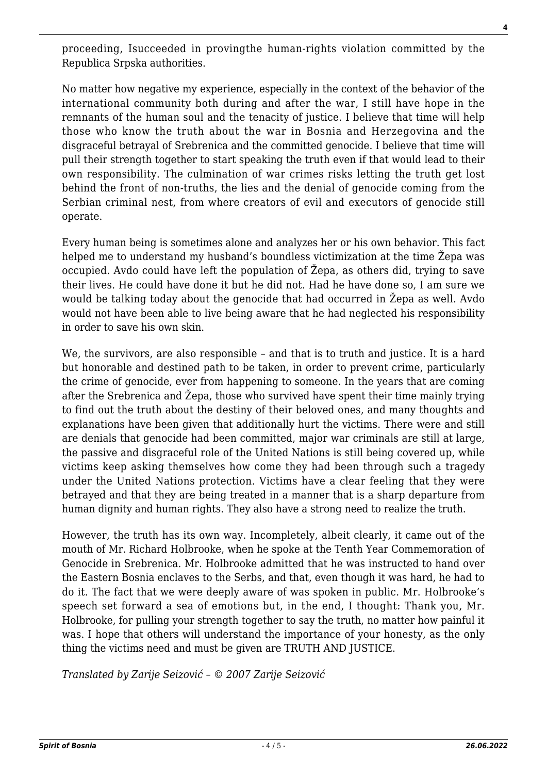proceeding, Isucceeded in provingthe human-rights violation committed by the Republica Srpska authorities.

No matter how negative my experience, especially in the context of the behavior of the international community both during and after the war, I still have hope in the remnants of the human soul and the tenacity of justice. I believe that time will help those who know the truth about the war in Bosnia and Herzegovina and the disgraceful betrayal of Srebrenica and the committed genocide. I believe that time will pull their strength together to start speaking the truth even if that would lead to their own responsibility. The culmination of war crimes risks letting the truth get lost behind the front of non-truths, the lies and the denial of genocide coming from the Serbian criminal nest, from where creators of evil and executors of genocide still operate.

Every human being is sometimes alone and analyzes her or his own behavior. This fact helped me to understand my husband's boundless victimization at the time Žepa was occupied. Avdo could have left the population of Žepa, as others did, trying to save their lives. He could have done it but he did not. Had he have done so, I am sure we would be talking today about the genocide that had occurred in Žepa as well. Avdo would not have been able to live being aware that he had neglected his responsibility in order to save his own skin.

We, the survivors, are also responsible – and that is to truth and justice. It is a hard but honorable and destined path to be taken, in order to prevent crime, particularly the crime of genocide, ever from happening to someone. In the years that are coming after the Srebrenica and Žepa, those who survived have spent their time mainly trying to find out the truth about the destiny of their beloved ones, and many thoughts and explanations have been given that additionally hurt the victims. There were and still are denials that genocide had been committed, major war criminals are still at large, the passive and disgraceful role of the United Nations is still being covered up, while victims keep asking themselves how come they had been through such a tragedy under the United Nations protection. Victims have a clear feeling that they were betrayed and that they are being treated in a manner that is a sharp departure from human dignity and human rights. They also have a strong need to realize the truth.

However, the truth has its own way. Incompletely, albeit clearly, it came out of the mouth of Mr. Richard Holbrooke, when he spoke at the Tenth Year Commemoration of Genocide in Srebrenica. Mr. Holbrooke admitted that he was instructed to hand over the Eastern Bosnia enclaves to the Serbs, and that, even though it was hard, he had to do it. The fact that we were deeply aware of was spoken in public. Mr. Holbrooke's speech set forward a sea of emotions but, in the end, I thought: Thank you, Mr. Holbrooke, for pulling your strength together to say the truth, no matter how painful it was. I hope that others will understand the importance of your honesty, as the only thing the victims need and must be given are TRUTH AND JUSTICE.

*Translated by Zarije Seizović – © 2007 Zarije Seizović*